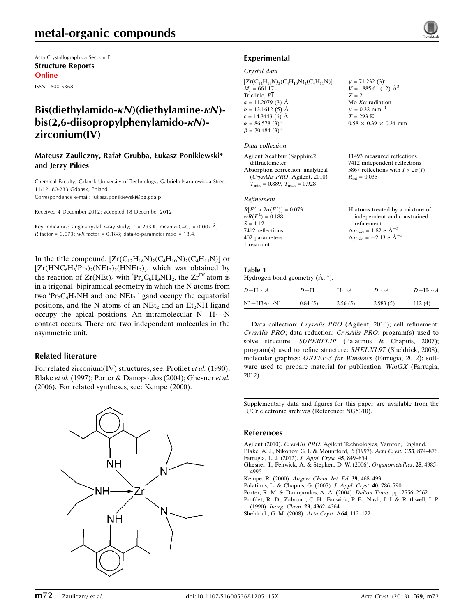Acta Crystallographica Section E Structure Reports Online

ISSN 1600-5368

# Bis(diethylamido- $\kappa$ N)(diethylamine- $\kappa$ N)bis(2.6-diisopropylphenylamido- $\kappa$ N)zirconium(IV)

#### Mateusz Zauliczny, Rafał Grubba, Łukasz Ponikiewski\* and Jerzy Pikies

Chemical Faculty, Gdansk University of Technology, Gabriela Narutowicza Street 11/12, 80-233 Gdansk, Poland

Correspondence e-mail: [lukasz.ponikiewski@pg.gda.pl](https://scripts.iucr.org/cgi-bin/cr.cgi?rm=pdfbb&cnor=ng5310&bbid=BB9)

Received 4 December 2012; accepted 18 December 2012

Key indicators: single-crystal X-ray study;  $T = 293$  K; mean  $\sigma$ (C–C) = 0.007 Å; R factor =  $0.073$ ; wR factor =  $0.188$ ; data-to-parameter ratio = 18.4.

In the title compound,  $[Zr(C_{12}H_{18}N)_2(C_4H_{10}N)_2(C_4H_{11}N)]$  or  $[Zr(HNC_6H_3^{\text{!`}}Pr_2)_2(NEt_2)_2(HNEt_2)],$  which was obtained by the reaction of  $Zr(NEt)_{4}$  with  ${}^{1}Pr_{2}C_{6}H_{3}NH_{2}$ , the  $Zr^{IV}$  atom is in a trigonal–bipiramidal geometry in which the N atoms from two  ${}^{i}Pr_{2}C_{6}H_{3}NH$  and one NEt<sub>2</sub> ligand occupy the equatorial positions, and the N atoms of an  $NEt<sub>2</sub>$  and an  $Et<sub>2</sub>NH$  ligand occupy the apical positions. An intramolecular  $N-H\cdots N$ contact occurs. There are two independent molecules in the asymmetric unit.

#### Related literature

For related zirconium(IV) structures, see: Profilet *et al.* (1990); Blake et al. (1997); Porter & Danopoulos (2004); Ghesner et al. (2006). For related syntheses, see: Kempe (2000).





#### Crystal data

 $[Zr(C_{12}H_{18}N)_2(C_4H_{10}N)_2(C_4H_{11}N)]$  $M_r = 661.17$ Triclinic,  $P\overline{1}$  $a = 11.2079$  (3) Å  $b = 13.1612(5)$  Å  $c = 14.3443(6)$  Å  $\alpha = 86.578(3)$  $\beta = 70.484$  (3)<sup>o</sup>

#### Data collection

| Agilent Xcalibur (Sapphire2)         | 11493 measured reflections             |
|--------------------------------------|----------------------------------------|
| diffractometer                       | 7412 independent reflections           |
| Absorption correction: analytical    | 5867 reflections with $I > 2\sigma(I)$ |
| (CrysAlis PRO; Agilent, 2010)        | $R_{\rm int} = 0.035$                  |
| $T_{\min} = 0.889, T_{\max} = 0.928$ |                                        |
| Refinement                           |                                        |

| $R[F^2 > 2\sigma(F^2)] = 0.073$ | H atoms treated by a mixture of                    |
|---------------------------------|----------------------------------------------------|
| $wR(F^2) = 0.188$               | independent and constrained                        |
| $S = 1.12$                      | refinement                                         |
| 7412 reflections                | $\Delta \rho_{\text{max}} = 1.82 \text{ e A}^{-3}$ |
| 402 parameters                  | $\Delta \rho_{\rm min} = -2.13$ e $\rm \AA^{-3}$   |
| 1 restraint                     |                                                    |

 $\nu = 71.232 (3)$ °  $V = 1885.61(12)$   $\AA^3$ 

Mo  $K\alpha$  radiation  $\mu$  = 0.32 mm<sup>-1</sup>  $T = 293$  K

 $0.58 \times 0.39 \times 0.34$  mm

 $Z = 2$ 

# Table 1

Hydrogen-bond geometry  $(\mathring{A}, \degree)$ .

| $D$ — $H \cdots A$ | $D-H$   | $H\cdot\cdot\cdot A$ | $D\cdot\cdot\cdot A$ | $D - H \cdots A$ |
|--------------------|---------|----------------------|----------------------|------------------|
| N3−H3 <i>A</i> …N1 | 0.84(5) | 2.56(5)              | 2.983(5)             | 112(4)           |

Data collection: CrysAlis PRO (Agilent, 2010); cell refinement: CrysAlis PRO; data reduction: CrysAlis PRO; program(s) used to solve structure: SUPERFLIP (Palatinus & Chapuis, 2007); program(s) used to refine structure: SHELXL97 (Sheldrick, 2008); molecular graphics: ORTEP-3 for Windows (Farrugia, 2012); software used to prepare material for publication:  $WinGX$  (Farrugia, 2012).

Supplementary data and figures for this paper are available from the IUCr electronic archives (Reference: NG5310).

#### References

Agilent (2010). CrysAlis PRO[. Agilent Technologies, Yarnton, England.](https://scripts.iucr.org/cgi-bin/cr.cgi?rm=pdfbb&cnor=ng5310&bbid=BB1)

[Blake, A. J., Nikonov, G. I. & Mountford, P. \(1997\).](https://scripts.iucr.org/cgi-bin/cr.cgi?rm=pdfbb&cnor=ng5310&bbid=BB2) Acta Cryst. C53, 874–876. [Farrugia, L. J. \(2012\).](https://scripts.iucr.org/cgi-bin/cr.cgi?rm=pdfbb&cnor=ng5310&bbid=BB3) J. Appl. Cryst. 45, 849–854.

[Ghesner, I., Fenwick, A. & Stephen, D. W. \(2006\).](https://scripts.iucr.org/cgi-bin/cr.cgi?rm=pdfbb&cnor=ng5310&bbid=BB4) Organometallics, 25, 4985– [4995.](https://scripts.iucr.org/cgi-bin/cr.cgi?rm=pdfbb&cnor=ng5310&bbid=BB4)

- Kempe, R. (2000). [Angew. Chem. Int. Ed.](https://scripts.iucr.org/cgi-bin/cr.cgi?rm=pdfbb&cnor=ng5310&bbid=BB5) 39, 468–493.
- [Palatinus, L. & Chapuis, G. \(2007\).](https://scripts.iucr.org/cgi-bin/cr.cgi?rm=pdfbb&cnor=ng5310&bbid=BB6) J. Appl. Cryst. 40, 786–790.
- [Porter, R. M. & Danopoulos, A. A. \(2004\).](https://scripts.iucr.org/cgi-bin/cr.cgi?rm=pdfbb&cnor=ng5310&bbid=BB7) Dalton Trans. pp. 2556–2562.

[Profilet, R. D., Zabrano, C. H., Fanwick, P. E., Nash, J. J. & Rothwell, I. P.](https://scripts.iucr.org/cgi-bin/cr.cgi?rm=pdfbb&cnor=ng5310&bbid=BB8) (1990). [Inorg. Chem.](https://scripts.iucr.org/cgi-bin/cr.cgi?rm=pdfbb&cnor=ng5310&bbid=BB8) 29, 4362–4364.

[Sheldrick, G. M. \(2008\).](https://scripts.iucr.org/cgi-bin/cr.cgi?rm=pdfbb&cnor=ng5310&bbid=BB9) Acta Cryst. A64, 112–122.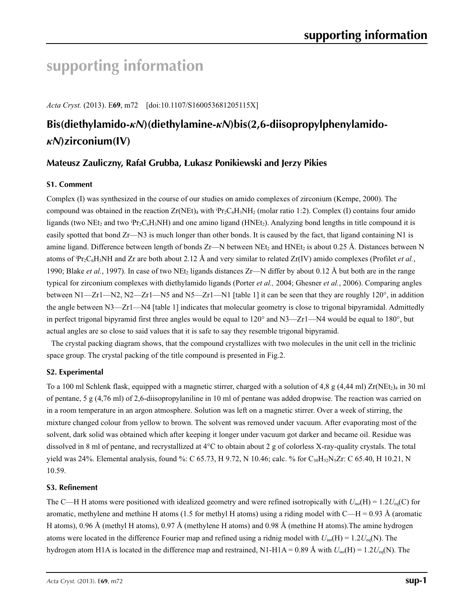# **supporting information**

*Acta Cryst.* (2013). E**69**, m72 [doi:10.1107/S160053681205115X]

# **Bis(diethylamido-***κN***)(diethylamine-***κN***)bis(2,6-diisopropylphenylamido***κN***)zirconium(IV)**

### **Mateusz Zauliczny, Rafał Grubba, Łukasz Ponikiewski and Jerzy Pikies**

#### **S1. Comment**

Complex (I) was synthesized in the course of our studies on amido complexes of zirconium (Kempe, 2000). The compound was obtained in the reaction  $Zr(NEt)_4$  with  ${}^1Pr_2C_6H_3NH_2$  (molar ratio 1:2). Complex (I) contains four amido ligands (two NEt<sub>2</sub> and two  $iPr_2C_6H_3NH$ ) and one amino ligand (HNEt<sub>2</sub>). Analyzing bond lengths in title compound it is easily spotted that bond Zr—N3 is much longer than other bonds. It is caused by the fact, that ligand containing N1 is amine ligand. Difference between length of bonds  $Zr$ —N between NEt<sub>2</sub> and HNEt<sub>2</sub> is about 0.25 Å. Distances between N atoms of  $Pr_2C_6H_3NH$  and Zr are both about 2.12 Å and very similar to related  $Zr(IV)$  amido complexes (Profilet *et al.*, 1990; Blake *et al.*, 1997). In case of two NEt<sub>2</sub> ligands distances Zr—N differ by about 0.12 Å but both are in the range typical for zirconium complexes with diethylamido ligands (Porter *et al.,* 2004; Ghesner *et al.*, 2006). Comparing angles between N1—Zr1—N2, N2—Zr1—N5 and N5—Zr1—N1 [table 1] it can be seen that they are roughly 120°, in addition the angle between N3—Zr1—N4 [table 1] indicates that molecular geometry is close to trigonal bipyramidal. Admittedly in perfect trigonal bipyramid first three angles would be equal to  $120^\circ$  and N3—Zr1—N4 would be equal to  $180^\circ$ , but actual angles are so close to said values that it is safe to say they resemble trigonal bipyramid.

The crystal packing diagram shows, that the compound crystallizes with two molecules in the unit cell in the triclinic space group. The crystal packing of the title compound is presented in Fig.2.

#### **S2. Experimental**

To a 100 ml Schlenk flask, equipped with a magnetic stirrer, charged with a solution of 4,8 g (4,44 ml)  $Zr(NEt<sub>2</sub>)$  in 30 ml of pentane, 5 g (4,76 ml) of 2,6-diisopropylaniline in 10 ml of pentane was added dropwise. The reaction was carried on in a room temperature in an argon atmosphere. Solution was left on a magnetic stirrer. Over a week of stirring, the mixture changed colour from yellow to brown. The solvent was removed under vacuum. After evaporating most of the solvent, dark solid was obtained which after keeping it longer under vacuum got darker and became oil. Residue was dissolved in 8 ml of pentane, and recrystallized at 4°C to obtain about 2 g of colorless X-ray-quality crystals. The total yield was 24%. Elemental analysis, found %: C 65.73, H 9.72, N 10.46; calc. % for C<sub>30</sub>H<sub>52</sub>N<sub>5</sub>Zr: C 65.40, H 10.21, N 10.59.

#### **S3. Refinement**

The C—H H atoms were positioned with idealized geometry and were refined isotropically with  $U_{iso}(H) = 1.2U_{eq}(C)$  for aromatic, methylene and methine H atoms (1.5 for methyl H atoms) using a riding model with  $C-H = 0.93 \text{ Å}$  (aromatic H atoms), 0.96 Å (methyl H atoms), 0.97 Å (methylene H atoms) and 0.98 Å (methine H atoms).The amine hydrogen atoms were located in the difference Fourier map and refined using a ridnig model with  $U_{iso}(H) = 1.2U_{eq}(N)$ . The hydrogen atom H1A is located in the difference map and restrained, N1-H1A = 0.89 Å with *U*iso(H) = 1.2*U*eq(N). The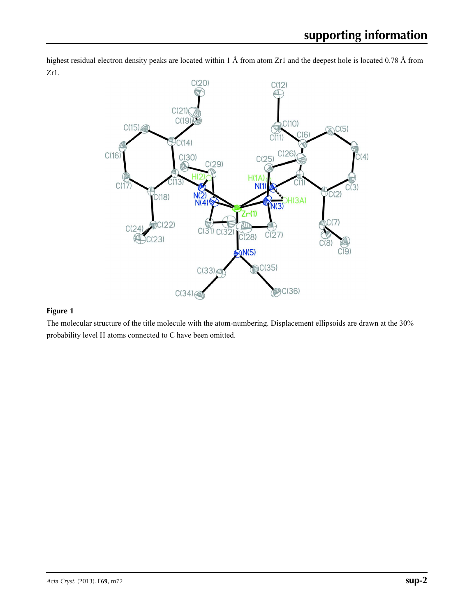

highest residual electron density peaks are located within 1 Å from atom Zr1 and the deepest hole is located 0.78 Å from Zr1.

#### **Figure 1**

The molecular structure of the title molecule with the atom-numbering. Displacement ellipsoids are drawn at the 30% probability level H atoms connected to C have been omitted.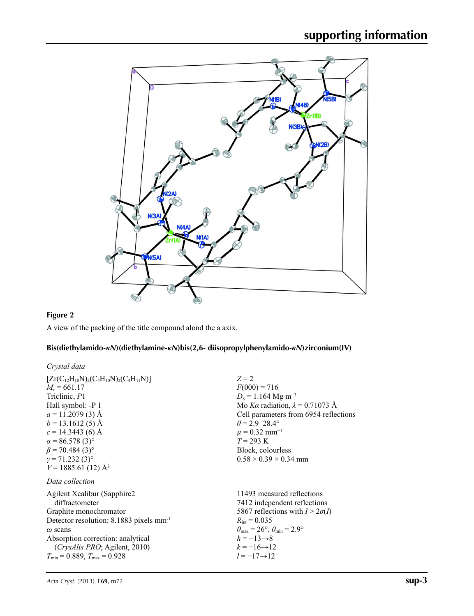

## **Figure 2**

A view of the packing of the title compound alond the a axix.

### **Bis(diethylamido-***κN***)(diethylamine-***κN***)bis(2,6- diisopropylphenylamido-***κN***)zirconium(IV)**

| Crystal data                                                                                                                                                                                                                                                                                                               |                                                                                                                                                                                                                                                                                              |
|----------------------------------------------------------------------------------------------------------------------------------------------------------------------------------------------------------------------------------------------------------------------------------------------------------------------------|----------------------------------------------------------------------------------------------------------------------------------------------------------------------------------------------------------------------------------------------------------------------------------------------|
| $[Zr(C_{12}H_{18}N)_2(C_4H_{10}N)_2(C_4H_{11}N)]$<br>$M_r = 661.17$<br>Triclinic, P1<br>Hall symbol: -P 1<br>$a = 11.2079(3)$ Å<br>$b = 13.1612(5)$ Å<br>$c = 14.3443(6)$ Å<br>$\alpha$ = 86.578 (3) <sup>o</sup><br>$\beta$ = 70.484 (3) <sup>o</sup><br>$\gamma = 71.232(3)^{\circ}$<br>$V = 1885.61(12)$ Å <sup>3</sup> | $Z = 2$<br>$F(000) = 716$<br>$D_x = 1.164$ Mg m <sup>-3</sup><br>Mo Ka radiation, $\lambda = 0.71073$ Å<br>Cell parameters from 6954 reflections<br>$\theta$ = 2.9–28.4°<br>$\mu = 0.32$ mm <sup>-1</sup><br>$T = 293 \text{ K}$<br>Block, colourless<br>$0.58 \times 0.39 \times 0.34$ mm   |
| Data collection                                                                                                                                                                                                                                                                                                            |                                                                                                                                                                                                                                                                                              |
| Agilent Xcalibur (Sapphire2)<br>diffractometer<br>Graphite monochromator<br>Detector resolution: 8.1883 pixels mm <sup>-1</sup><br>$\omega$ scans<br>Absorption correction: analytical<br><i>(CrysAlis PRO</i> ; Agilent, 2010)<br>$T_{\min}$ = 0.889, $T_{\max}$ = 0.928                                                  | 11493 measured reflections<br>7412 independent reflections<br>5867 reflections with $I > 2\sigma(I)$<br>$R_{\text{int}} = 0.035$<br>$\theta_{\text{max}} = 26^{\circ}, \theta_{\text{min}} = 2.9^{\circ}$<br>$h = -13 \rightarrow 8$<br>$k = -16 \rightarrow 12$<br>$l = -17 \rightarrow 12$ |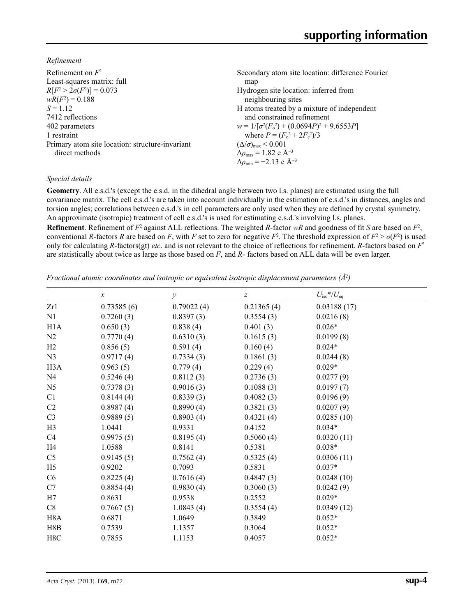*Refinement*

| Secondary atom site location: difference Fourier             |
|--------------------------------------------------------------|
| map                                                          |
| Hydrogen site location: inferred from                        |
| neighbouring sites                                           |
| H atoms treated by a mixture of independent                  |
| and constrained refinement                                   |
| $w = 1/[\sigma^2(F_0^2) + (0.0694P)^2 + 9.6553P]$            |
| where $P = (F_0^2 + 2F_c^2)/3$                               |
| $(\Delta/\sigma)_{\text{max}}$ < 0.001                       |
| $\Delta \rho_{\text{max}} = 1.82 \text{ e } \text{\AA}^{-3}$ |
| $\Delta \rho_{\rm min} = -2.13$ e Å <sup>-3</sup>            |
|                                                              |

#### *Special details*

**Geometry**. All e.s.d.'s (except the e.s.d. in the dihedral angle between two l.s. planes) are estimated using the full covariance matrix. The cell e.s.d.'s are taken into account individually in the estimation of e.s.d.'s in distances, angles and torsion angles; correlations between e.s.d.'s in cell parameters are only used when they are defined by crystal symmetry. An approximate (isotropic) treatment of cell e.s.d.'s is used for estimating e.s.d.'s involving l.s. planes.

**Refinement**. Refinement of  $F^2$  against ALL reflections. The weighted *R*-factor  $wR$  and goodness of fit *S* are based on  $F^2$ , conventional *R*-factors *R* are based on *F*, with *F* set to zero for negative  $F^2$ . The threshold expression of  $F^2 > \sigma(F^2)$  is used only for calculating *R*-factors(gt) *etc*. and is not relevant to the choice of reflections for refinement. *R*-factors based on *F*<sup>2</sup> are statistically about twice as large as those based on *F*, and *R*- factors based on ALL data will be even larger.

*Fractional atomic coordinates and isotropic or equivalent isotropic displacement parameters (Å<sup>2</sup>)* 

|                  | $\boldsymbol{x}$ | $\mathcal{Y}$ | z          | $U_{\rm iso}$ */ $U_{\rm eq}$ |  |
|------------------|------------------|---------------|------------|-------------------------------|--|
| Zr1              | 0.73585(6)       | 0.79022(4)    | 0.21365(4) | 0.03188(17)                   |  |
| N1               | 0.7260(3)        | 0.8397(3)     | 0.3554(3)  | 0.0216(8)                     |  |
| H1A              | 0.650(3)         | 0.838(4)      | 0.401(3)   | $0.026*$                      |  |
| N2               | 0.7770(4)        | 0.6310(3)     | 0.1615(3)  | 0.0199(8)                     |  |
| H2               | 0.856(5)         | 0.591(4)      | 0.160(4)   | $0.024*$                      |  |
| N <sub>3</sub>   | 0.9717(4)        | 0.7334(3)     | 0.1861(3)  | 0.0244(8)                     |  |
| H <sub>3</sub> A | 0.963(5)         | 0.779(4)      | 0.229(4)   | $0.029*$                      |  |
| N <sub>4</sub>   | 0.5246(4)        | 0.8112(3)     | 0.2736(3)  | 0.0277(9)                     |  |
| N <sub>5</sub>   | 0.7378(3)        | 0.9016(3)     | 0.1088(3)  | 0.0197(7)                     |  |
| C1               | 0.8144(4)        | 0.8339(3)     | 0.4082(3)  | 0.0196(9)                     |  |
| C <sub>2</sub>   | 0.8987(4)        | 0.8990(4)     | 0.3821(3)  | 0.0207(9)                     |  |
| C <sub>3</sub>   | 0.9889(5)        | 0.8903(4)     | 0.4321(4)  | 0.0285(10)                    |  |
| H <sub>3</sub>   | 1.0441           | 0.9331        | 0.4152     | $0.034*$                      |  |
| C <sub>4</sub>   | 0.9975(5)        | 0.8195(4)     | 0.5060(4)  | 0.0320(11)                    |  |
| H <sub>4</sub>   | 1.0588           | 0.8141        | 0.5381     | $0.038*$                      |  |
| C <sub>5</sub>   | 0.9145(5)        | 0.7562(4)     | 0.5325(4)  | 0.0306(11)                    |  |
| H <sub>5</sub>   | 0.9202           | 0.7093        | 0.5831     | $0.037*$                      |  |
| C6               | 0.8225(4)        | 0.7616(4)     | 0.4847(3)  | 0.0248(10)                    |  |
| C7               | 0.8854(4)        | 0.9830(4)     | 0.3060(3)  | 0.0242(9)                     |  |
| H7               | 0.8631           | 0.9538        | 0.2552     | $0.029*$                      |  |
| C8               | 0.7667(5)        | 1.0843(4)     | 0.3554(4)  | 0.0349(12)                    |  |
| H <sub>8</sub> A | 0.6871           | 1.0649        | 0.3849     | $0.052*$                      |  |
| H8B              | 0.7539           | 1.1357        | 0.3064     | $0.052*$                      |  |
| H8C              | 0.7855           | 1.1153        | 0.4057     | $0.052*$                      |  |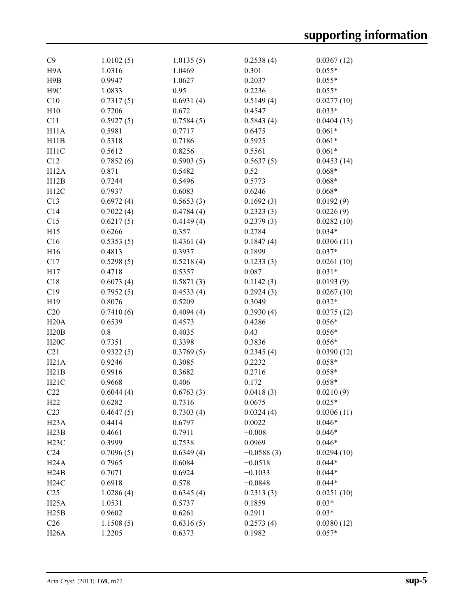| C9                | 1.0102(5) | 1.0135(5) | 0.2538(4)    | 0.0367(12) |
|-------------------|-----------|-----------|--------------|------------|
| H <sub>9</sub> A  | 1.0316    | 1.0469    | 0.301        | $0.055*$   |
| H9B               | 0.9947    | 1.0627    | 0.2037       | $0.055*$   |
| H <sub>9</sub> C  | 1.0833    | 0.95      | 0.2236       | $0.055*$   |
| C10               | 0.7317(5) | 0.6931(4) | 0.5149(4)    | 0.0277(10) |
| H10               | 0.7206    | 0.672     | 0.4547       | $0.033*$   |
| C11               | 0.5927(5) | 0.7584(5) | 0.5843(4)    | 0.0404(13) |
| H11A              | 0.5981    | 0.7717    | 0.6475       | $0.061*$   |
| H11B              | 0.5318    | 0.7186    | 0.5925       | $0.061*$   |
| H11C              | 0.5612    | 0.8256    | 0.5561       | $0.061*$   |
| C12               | 0.7852(6) | 0.5903(5) | 0.5637(5)    | 0.0453(14) |
| H <sub>12</sub> A | 0.871     | 0.5482    | 0.52         | $0.068*$   |
| H12B              | 0.7244    | 0.5496    | 0.5773       | $0.068*$   |
| H12C              | 0.7937    | 0.6083    | 0.6246       | $0.068*$   |
| C13               | 0.6972(4) | 0.5653(3) | 0.1692(3)    | 0.0192(9)  |
| C14               | 0.7022(4) | 0.4784(4) | 0.2323(3)    | 0.0226(9)  |
| C15               | 0.6217(5) | 0.4149(4) | 0.2379(3)    | 0.0282(10) |
| H15               | 0.6266    | 0.357     | 0.2784       | $0.034*$   |
| C16               | 0.5353(5) | 0.4361(4) | 0.1847(4)    | 0.0306(11) |
| H16               | 0.4813    | 0.3937    | 0.1899       | $0.037*$   |
| C17               | 0.5298(5) | 0.5218(4) | 0.1233(3)    | 0.0261(10) |
| H17               | 0.4718    | 0.5357    | 0.087        | $0.031*$   |
| C18               | 0.6073(4) | 0.5871(3) | 0.1142(3)    | 0.0193(9)  |
| C19               | 0.7952(5) | 0.4533(4) | 0.2924(3)    | 0.0267(10) |
| H19               | 0.8076    | 0.5209    | 0.3049       | $0.032*$   |
| C20               | 0.7410(6) | 0.4094(4) | 0.3930(4)    | 0.0375(12) |
| H20A              | 0.6539    | 0.4573    | 0.4286       | $0.056*$   |
| H20B              | 0.8       | 0.4035    | 0.43         | $0.056*$   |
| H20C              | 0.7351    | 0.3398    | 0.3836       | $0.056*$   |
| C21               | 0.9322(5) | 0.3769(5) | 0.2345(4)    | 0.0390(12) |
| H21A              | 0.9246    | 0.3085    | 0.2232       | $0.058*$   |
| H21B              | 0.9916    | 0.3682    | 0.2716       | $0.058*$   |
| H21C              | 0.9668    | 0.406     | 0.172        | $0.058*$   |
| C22               | 0.6044(4) | 0.6763(3) | 0.0418(3)    | 0.0210(9)  |
| H22               | 0.6282    | 0.7316    | 0.0675       | $0.025*$   |
| C <sub>23</sub>   | 0.4647(5) | 0.7303(4) | 0.0324(4)    | 0.0306(11) |
| H <sub>23</sub> A | 0.4414    | 0.6797    | 0.0022       | $0.046*$   |
| H23B              | 0.4661    | 0.7911    | $-0.008$     | $0.046*$   |
| H23C              | 0.3999    | 0.7538    | 0.0969       | $0.046*$   |
| C <sub>24</sub>   | 0.7096(5) | 0.6349(4) | $-0.0588(3)$ | 0.0294(10) |
| H <sub>24</sub> A | 0.7965    | 0.6084    | $-0.0518$    | $0.044*$   |
| H24B              | 0.7071    | 0.6924    | $-0.1033$    | $0.044*$   |
| H24C              | 0.6918    | 0.578     | $-0.0848$    | $0.044*$   |
| C <sub>25</sub>   | 1.0286(4) | 0.6345(4) | 0.2313(3)    | 0.0251(10) |
| H25A              | 1.0531    | 0.5737    | 0.1859       | $0.03*$    |
| H25B              | 0.9602    | 0.6261    | 0.2911       | $0.03*$    |
| C <sub>26</sub>   | 1.1508(5) | 0.6316(5) | 0.2573(4)    | 0.0380(12) |
| H <sub>26</sub> A | 1.2205    | 0.6373    | 0.1982       | $0.057*$   |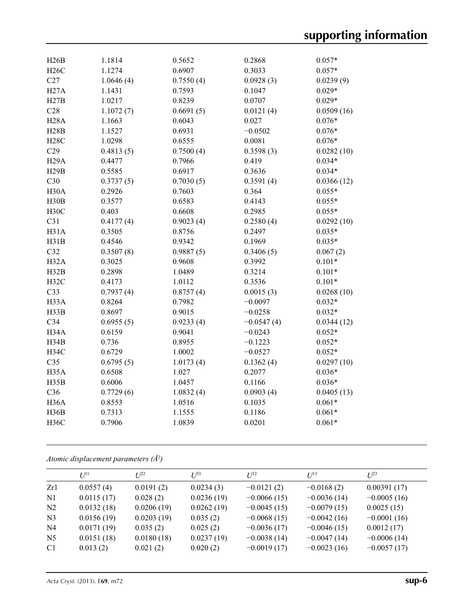| H26B              | 1.1814    | 0.5652    | 0.2868       | $0.057*$   |
|-------------------|-----------|-----------|--------------|------------|
| H26C              | 1.1274    | 0.6907    | 0.3033       | $0.057*$   |
| C27               | 1.0646(4) | 0.7550(4) | 0.0928(3)    | 0.0239(9)  |
| H27A              | 1.1431    | 0.7593    | 0.1047       | $0.029*$   |
| H27B              | 1.0217    | 0.8239    | 0.0707       | $0.029*$   |
| C28               | 1.1072(7) | 0.6691(5) | 0.0121(4)    | 0.0509(16) |
| <b>H28A</b>       | 1.1663    | 0.6043    | 0.027        | $0.076*$   |
| H28B              | 1.1527    | 0.6931    | $-0.0502$    | $0.076*$   |
| <b>H28C</b>       | 1.0298    | 0.6555    | 0.0081       | $0.076*$   |
| C29               | 0.4813(5) | 0.7500(4) | 0.3598(3)    | 0.0282(10) |
| H <sub>29</sub> A | 0.4477    | 0.7966    | 0.419        | $0.034*$   |
| H29B              | 0.5585    | 0.6917    | 0.3636       | $0.034*$   |
| C30               | 0.3737(5) | 0.7030(5) | 0.3591(4)    | 0.0366(12) |
| H30A              | 0.2926    | 0.7603    | 0.364        | $0.055*$   |
| H30B              | 0.3577    | 0.6583    | 0.4143       | $0.055*$   |
| H30C              | 0.403     | 0.6608    | 0.2985       | $0.055*$   |
| C31               | 0.4177(4) | 0.9023(4) | 0.2580(4)    | 0.0292(10) |
| H31A              | 0.3505    | 0.8756    | 0.2497       | $0.035*$   |
| H31B              | 0.4546    | 0.9342    | 0.1969       | $0.035*$   |
| C32               | 0.3507(8) | 0.9887(5) | 0.3406(5)    | 0.067(2)   |
| H32A              | 0.3025    | 0.9608    | 0.3992       | $0.101*$   |
| H32B              | 0.2898    | 1.0489    | 0.3214       | $0.101*$   |
| H32C              | 0.4173    | 1.0112    | 0.3536       | $0.101*$   |
| C <sub>33</sub>   | 0.7937(4) | 0.8757(4) | 0.0015(3)    | 0.0268(10) |
| H33A              | 0.8264    | 0.7982    | $-0.0097$    | $0.032*$   |
| H33B              | 0.8697    | 0.9015    | $-0.0258$    | $0.032*$   |
| C <sub>34</sub>   | 0.6955(5) | 0.9233(4) | $-0.0547(4)$ | 0.0344(12) |
| H34A              | 0.6159    | 0.9041    | $-0.0243$    | $0.052*$   |
| H34B              | 0.736     | 0.8955    | $-0.1223$    | $0.052*$   |
| <b>H34C</b>       | 0.6729    | 1.0002    | $-0.0527$    | $0.052*$   |
| C <sub>35</sub>   | 0.6795(5) | 1.0173(4) | 0.1362(4)    | 0.0297(10) |
| H <sub>35</sub> A | 0.6508    | 1.027     | 0.2077       | $0.036*$   |
| H35B              | 0.6006    | 1.0457    | 0.1166       | $0.036*$   |
| C36               | 0.7729(6) | 1.0832(4) | 0.0903(4)    | 0.0405(13) |
| H <sub>36</sub> A | 0.8553    | 1.0516    | 0.1035       | $0.061*$   |
| H <sub>36</sub> B | 0.7313    | 1.1555    | 0.1186       | $0.061*$   |
| <b>H36C</b>       | 0.7906    | 1.0839    | 0.0201       | $0.061*$   |
|                   |           |           |              |            |

*Atomic displacement parameters (Å2 )*

|                | $U^{11}$   | $L^{22}$   | $I^{\beta 3}$ | $U^{12}$      | $U^{13}$      | $L^{23}$      |
|----------------|------------|------------|---------------|---------------|---------------|---------------|
| Zr1            | 0.0557(4)  | 0.0191(2)  | 0.0234(3)     | $-0.0121(2)$  | $-0.0168(2)$  | 0.00391(17)   |
| N <sub>1</sub> | 0.0115(17) | 0.028(2)   | 0.0236(19)    | $-0.0066(15)$ | $-0.0036(14)$ | $-0.0005(16)$ |
| N <sub>2</sub> | 0.0132(18) | 0.0206(19) | 0.0262(19)    | $-0.0045(15)$ | $-0.0079(15)$ | 0.0025(15)    |
| N <sub>3</sub> | 0.0156(19) | 0.0203(19) | 0.035(2)      | $-0.0068(15)$ | $-0.0042(16)$ | $-0.0001(16)$ |
| N <sub>4</sub> | 0.0171(19) | 0.035(2)   | 0.025(2)      | $-0.0036(17)$ | $-0.0046(15)$ | 0.0012(17)    |
| N <sub>5</sub> | 0.0151(18) | 0.0180(18) | 0.0237(19)    | $-0.0038(14)$ | $-0.0047(14)$ | $-0.0006(14)$ |
| C <sub>1</sub> | 0.013(2)   | 0.021(2)   | 0.020(2)      | $-0.0019(17)$ | $-0.0023(16)$ | $-0.0057(17)$ |
|                |            |            |               |               |               |               |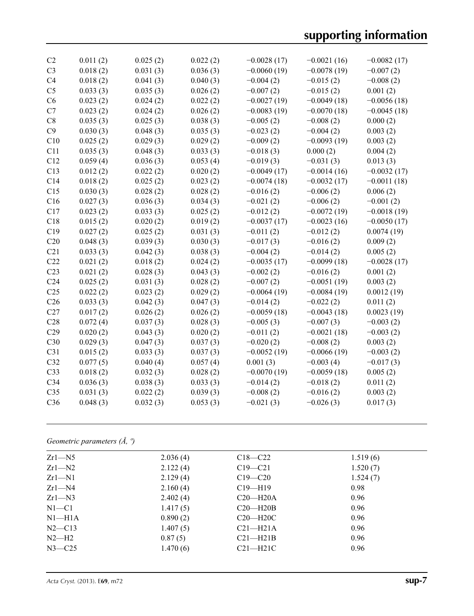| C <sub>2</sub>  | 0.011(2) | 0.025(2) | 0.022(2) | $-0.0028(17)$ | $-0.0021(16)$ | $-0.0082(17)$ |
|-----------------|----------|----------|----------|---------------|---------------|---------------|
| C <sub>3</sub>  | 0.018(2) | 0.031(3) | 0.036(3) | $-0.0060(19)$ | $-0.0078(19)$ | $-0.007(2)$   |
| C <sub>4</sub>  | 0.018(2) | 0.041(3) | 0.040(3) | $-0.004(2)$   | $-0.015(2)$   | $-0.008(2)$   |
| C <sub>5</sub>  | 0.033(3) | 0.035(3) | 0.026(2) | $-0.007(2)$   | $-0.015(2)$   | 0.001(2)      |
| C6              | 0.023(2) | 0.024(2) | 0.022(2) | $-0.0027(19)$ | $-0.0049(18)$ | $-0.0056(18)$ |
| C7              | 0.023(2) | 0.024(2) | 0.026(2) | $-0.0083(19)$ | $-0.0070(18)$ | $-0.0045(18)$ |
| C8              | 0.035(3) | 0.025(3) | 0.038(3) | $-0.005(2)$   | $-0.008(2)$   | 0.000(2)      |
| C9              | 0.030(3) | 0.048(3) | 0.035(3) | $-0.023(2)$   | $-0.004(2)$   | 0.003(2)      |
| C10             | 0.025(2) | 0.029(3) | 0.029(2) | $-0.009(2)$   | $-0.0093(19)$ | 0.003(2)      |
| C11             | 0.035(3) | 0.048(3) | 0.033(3) | $-0.018(3)$   | 0.000(2)      | 0.004(2)      |
| C12             | 0.059(4) | 0.036(3) | 0.053(4) | $-0.019(3)$   | $-0.031(3)$   | 0.013(3)      |
| C13             | 0.012(2) | 0.022(2) | 0.020(2) | $-0.0049(17)$ | $-0.0014(16)$ | $-0.0032(17)$ |
| C14             | 0.018(2) | 0.025(2) | 0.023(2) | $-0.0074(18)$ | $-0.0032(17)$ | $-0.0011(18)$ |
| C15             | 0.030(3) | 0.028(2) | 0.028(2) | $-0.016(2)$   | $-0.006(2)$   | 0.006(2)      |
| C16             | 0.027(3) | 0.036(3) | 0.034(3) | $-0.021(2)$   | $-0.006(2)$   | $-0.001(2)$   |
| C17             | 0.023(2) | 0.033(3) | 0.025(2) | $-0.012(2)$   | $-0.0072(19)$ | $-0.0018(19)$ |
| C18             | 0.015(2) | 0.020(2) | 0.019(2) | $-0.0037(17)$ | $-0.0023(16)$ | $-0.0050(17)$ |
| C19             | 0.027(2) | 0.025(2) | 0.031(3) | $-0.011(2)$   | $-0.012(2)$   | 0.0074(19)    |
| C20             | 0.048(3) | 0.039(3) | 0.030(3) | $-0.017(3)$   | $-0.016(2)$   | 0.009(2)      |
| C21             | 0.033(3) | 0.042(3) | 0.038(3) | $-0.004(2)$   | $-0.014(2)$   | 0.005(2)      |
| C22             | 0.021(2) | 0.018(2) | 0.024(2) | $-0.0035(17)$ | $-0.0099(18)$ | $-0.0028(17)$ |
| C23             | 0.021(2) | 0.028(3) | 0.043(3) | $-0.002(2)$   | $-0.016(2)$   | 0.001(2)      |
| C <sub>24</sub> | 0.025(2) | 0.031(3) | 0.028(2) | $-0.007(2)$   | $-0.0051(19)$ | 0.003(2)      |
| C <sub>25</sub> | 0.022(2) | 0.023(2) | 0.029(2) | $-0.0064(19)$ | $-0.0084(19)$ | 0.0012(19)    |
| C <sub>26</sub> | 0.033(3) | 0.042(3) | 0.047(3) | $-0.014(2)$   | $-0.022(2)$   | 0.011(2)      |
| C27             | 0.017(2) | 0.026(2) | 0.026(2) | $-0.0059(18)$ | $-0.0043(18)$ | 0.0023(19)    |
| C28             | 0.072(4) | 0.037(3) | 0.028(3) | $-0.005(3)$   | $-0.007(3)$   | $-0.003(2)$   |
| C29             | 0.020(2) | 0.043(3) | 0.020(2) | $-0.011(2)$   | $-0.0021(18)$ | $-0.003(2)$   |
| C30             | 0.029(3) | 0.047(3) | 0.037(3) | $-0.020(2)$   | $-0.008(2)$   | 0.003(2)      |
| C31             | 0.015(2) | 0.033(3) | 0.037(3) | $-0.0052(19)$ | $-0.0066(19)$ | $-0.003(2)$   |
| C32             | 0.077(5) | 0.040(4) | 0.057(4) | 0.001(3)      | $-0.003(4)$   | $-0.017(3)$   |
| C <sub>33</sub> | 0.018(2) | 0.032(3) | 0.028(2) | $-0.0070(19)$ | $-0.0059(18)$ | 0.005(2)      |
| C <sub>34</sub> | 0.036(3) | 0.038(3) | 0.033(3) | $-0.014(2)$   | $-0.018(2)$   | 0.011(2)      |
| C <sub>35</sub> | 0.031(3) | 0.022(2) | 0.039(3) | $-0.008(2)$   | $-0.016(2)$   | 0.003(2)      |
| C36             | 0.048(3) | 0.032(3) | 0.053(3) | $-0.021(3)$   | $-0.026(3)$   | 0.017(3)      |
|                 |          |          |          |               |               |               |

# *Geometric parameters (Å, º)*

| $Zr1 - N5$ | 2.036(4) | $C18 - C22$  | 1.519(6) |  |
|------------|----------|--------------|----------|--|
| $Zr1-M2$   | 2.122(4) | $C19 - C21$  | 1.520(7) |  |
| $Zr1 - N1$ | 2.129(4) | $C19 - C20$  | 1.524(7) |  |
| $Zr1-M4$   | 2.160(4) | $C19 - H19$  | 0.98     |  |
| $Zr1-M3$   | 2.402(4) | $C20 - H20A$ | 0.96     |  |
| $N1 - C1$  | 1.417(5) | $C20-H20B$   | 0.96     |  |
| $N1-H1A$   | 0.890(2) | $C20-H20C$   | 0.96     |  |
| $N2 - C13$ | 1.407(5) | $C21-H21A$   | 0.96     |  |
| $N2-H2$    | 0.87(5)  | $C21 - H21B$ | 0.96     |  |
| $N3 - C25$ | 1.470(6) | $C21 - H21C$ | 0.96     |  |
|            |          |              |          |  |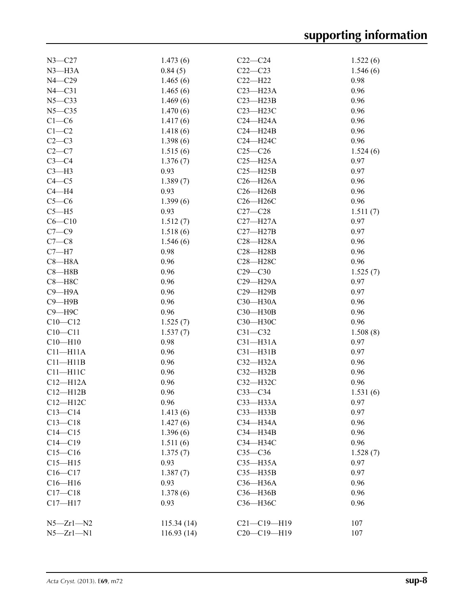| $N3 - C27$      | 1.473(6)   | $C22-C24$         | 1.522(6) |
|-----------------|------------|-------------------|----------|
| $N3 - H3A$      | 0.84(5)    | $C22-C23$         | 1.546(6) |
| $N4 - C29$      | 1.465(6)   | $C22-H22$         | 0.98     |
| $N4 - C31$      | 1.465(6)   | $C23 - H23A$      | 0.96     |
| $N5 - C33$      | 1.469(6)   | $C23 - H23B$      | 0.96     |
| $N5 - C35$      | 1.470(6)   | C23-H23C          | 0.96     |
| $C1-C6$         | 1.417(6)   | $C24 - H24A$      | 0.96     |
| $C1 - C2$       | 1.418(6)   | $C24 - H24B$      | 0.96     |
| $C2-C3$         | 1.398(6)   | C24-H24C          | 0.96     |
| $C2-C7$         | 1.515(6)   | $C25-C26$         | 1.524(6) |
| $C3-C4$         | 1.376(7)   | $C25 - H25A$      | 0.97     |
| $C3-H3$         | 0.93       | $C25 - H25B$      | 0.97     |
| $C4 - C5$       | 1.389(7)   | $C26 - H26A$      | 0.96     |
| $C4 - H4$       | 0.93       | $C26 - H26B$      | 0.96     |
| $C5-C6$         | 1.399(6)   | C26-H26C          | 0.96     |
| $C5 - H5$       | 0.93       | $C27-C28$         | 1.511(7) |
| $C6 - C10$      | 1.512(7)   | $C27 - H27A$      | 0.97     |
| $C7 - C9$       | 1.518(6)   | $C27 - H27B$      | 0.97     |
| $C7-C8$         | 1.546(6)   | $C28 - H28A$      | 0.96     |
| $C7 - H7$       | 0.98       | $C28 - H28B$      | 0.96     |
| $C8 - H8A$      | 0.96       | C28-H28C          | 0.96     |
| $C8 - H8B$      | 0.96       | $C29 - C30$       | 1.525(7) |
| $C8 - H8C$      | 0.96       | $C29 - H29A$      | 0.97     |
| $C9 - H9A$      | 0.96       | C29-H29B          | 0.97     |
| $C9 - H9B$      | 0.96       | C30-H30A          | 0.96     |
| $C9 - H9C$      | 0.96       | C30-H30B          | 0.96     |
| $C10 - C12$     | 1.525(7)   | C30-H30C          | 0.96     |
| $C10 - C11$     | 1.537(7)   | $C31 - C32$       | 1.508(8) |
| $C10 - H10$     | 0.98       | $C31 - H31A$      | 0.97     |
| $C11 - H11A$    | 0.96       | $C31 - H31B$      | 0.97     |
| $C11 - H11B$    | 0.96       | $C32-H32A$        | 0.96     |
| $C11 - H11C$    | 0.96       | $C32-H32B$        | 0.96     |
| $C12 - H12A$    | 0.96       | C32-H32C          | 0.96     |
| $C12 - H12B$    | 0.96       | $C33-C34$         | 1.531(6) |
| $C12 - H12C$    | 0.96       | C33-H33A          | 0.97     |
| $C13 - C14$     | 1.413(6)   | $C33$ —H33B       | 0.97     |
| $C13 - C18$     | 1.427(6)   | C34-H34A          | 0.96     |
| $C14 - C15$     | 1.396(6)   | C34-H34B          | 0.96     |
| $C14 - C19$     | 1.511(6)   | СЗ4-НЗ4С          | 0.96     |
| $C15 - C16$     | 1.375(7)   | $C35-C36$         | 1.528(7) |
| $C15 - H15$     | 0.93       | $C35 - H35A$      | 0.97     |
| $C16 - C17$     | 1.387(7)   | $C35 - H35B$      | 0.97     |
| $C16 - H16$     | 0.93       | C36-H36A          | 0.96     |
| $C17 - C18$     | 1.378(6)   | C36-H36B          | 0.96     |
| $C17 - H17$     | 0.93       | C36-H36C          | 0.96     |
|                 |            |                   |          |
| $N5 - Zr1 - N2$ | 115.34(14) | $C21 - C19 - H19$ | 107      |
| $N5 - Zr1 - N1$ | 116.93(14) | C20-C19-H19       | 107      |
|                 |            |                   |          |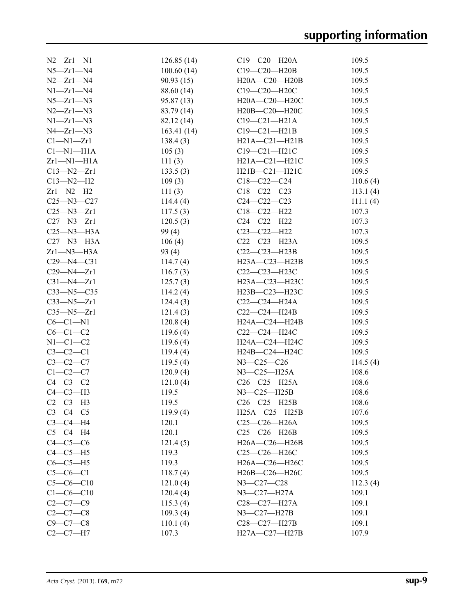| $N2 - Zr1 - N1$  | 126.85(14) | $C19 - C20 - H20A$  | 109.5    |
|------------------|------------|---------------------|----------|
| $N5 - Zr1 - N4$  | 100.60(14) | $C19-C20-H20B$      |          |
| $N2 - Zr1 - N4$  | 90.93(15)  | H20A-C20-H20B       | 109.5    |
| $N1 - Zr1 - N4$  | 88.60 (14) | $C19 - C20 - H20C$  | 109.5    |
| $N5 - Zr1 - N3$  | 95.87(13)  | H20A-C20-H20C       | 109.5    |
| $N2 - Zr1 - N3$  | 83.79 (14) | H20B-C20-H20C       | 109.5    |
| $N1 - Zr1 - N3$  | 82.12 (14) | $C19 - C21 - H21A$  | 109.5    |
| $N4 - Zr1 - N3$  | 163.41(14) | $C19 - C21 - H21B$  | 109.5    |
| $Cl-M1-Zr1$      | 138.4(3)   | $H21A - C21 - H21B$ | 109.5    |
| $Cl-M1-H1A$      | 105(3)     | $C19 - C21 - H21C$  | 109.5    |
| $Zr1 - N1 - H1A$ | 111(3)     | $H21A - C21 - H21C$ | 109.5    |
| $C13 - N2 - Zr1$ | 133.5(3)   | $H21B - C21 - H21C$ | 109.5    |
| $C13 - N2 - H2$  | 109(3)     | $C18-C22-C24$       | 110.6(4) |
| $Zr1 - N2 - H2$  | 111(3)     | $C18 - C22 - C23$   | 113.1(4) |
| $C25 - N3 - C27$ | 114.4(4)   | $C24 - C22 - C23$   | 111.1(4) |
| $C25 - N3 - Zr1$ | 117.5(3)   | $C18 - C22 - H22$   | 107.3    |
| $C27 - N3 - Zr1$ | 120.5(3)   | $C24 - C22 - H22$   | 107.3    |
| $C25 - N3 - H3A$ | 99(4)      | $C23 - C22 - H22$   | 107.3    |
| $C27 - N3 - H3A$ | 106(4)     | C22-C23-H23A        | 109.5    |
| $Zr1 - N3 - H3A$ | 93(4)      | $C22-C23-H23B$      | 109.5    |
| $C29 - N4 - C31$ | 114.7(4)   | H23A-C23-H23B       | 109.5    |
| $C29 - N4 - Zr1$ | 116.7(3)   | C22-C23-H23C        | 109.5    |
| $C31 - N4 - Zr1$ | 125.7(3)   | H23A-C23-H23C       | 109.5    |
| $C33 - N5 - C35$ | 114.2(4)   | H23B-C23-H23C       | 109.5    |
| $C33 - N5 - Zr1$ | 124.4(3)   | C22-C24-H24A        | 109.5    |
| $C35 - N5 - Zr1$ | 121.4(3)   | C22—C24—H24B        | 109.5    |
| $C6-C1-N1$       | 120.8(4)   | H24A—C24—H24B       | 109.5    |
| $C6-C1-C2$       | 119.6(4)   | C22-C24-H24C        | 109.5    |
| $N1-C1-C2$       | 119.6(4)   | H24A-C24-H24C       | 109.5    |
| $C3-C2-C1$       | 119.4(4)   | H24B-C24-H24C       | 109.5    |
| $C3-C2-C7$       | 119.5(4)   | $N3 - C25 - C26$    | 114.5(4) |
| $C1-C2-C7$       | 120.9(4)   | N3-C25-H25A         | 108.6    |
| $C4-C3-C2$       | 121.0(4)   | $C26 - C25 - H25A$  | 108.6    |
| $C4-C3-H3$       | 119.5      | N3-C25-H25B         | 108.6    |
| $C2-C3-H3$       | 119.5      | $C26-C25-H25B$      | 108.6    |
| $C3-C4-C5$       | 119.9(4)   | $H25A - C25 - H25B$ | 107.6    |
| $C3-C4-H4$       | 120.1      | $C25-C26-H26A$      | 109.5    |
| $C5-C4-H4$       | 120.1      | C25-C26-H26B        | 109.5    |
| $C4-C5-C6$       | 121.4(5)   | H26A-C26-H26B       | 109.5    |
| $C4-C5-H5$       | 119.3      | C25-C26-H26C        | 109.5    |
| $C6-C5-H5$       | 119.3      | H26A-C26-H26C       | 109.5    |
| $C5-C6-C1$       | 118.7(4)   | $H26B-C26-H26C$     | 109.5    |
| $C5-C6-C10$      | 121.0(4)   | N3-C27-C28          | 112.3(4) |
| $C1 - C6 - C10$  | 120.4(4)   | $N3 - C27 - H27A$   | 109.1    |
| $C2 - C7 - C9$   | 115.3(4)   | C28-C27-H27A        | 109.1    |
| $C2 - C7 - C8$   | 109.3(4)   | N3-C27-H27B         | 109.1    |
| $C9 - C7 - C8$   | 110.1(4)   | C28-C27-H27B        | 109.1    |
| $C2-C7-H7$       | 107.3      | H27A-C27-H27B       | 107.9    |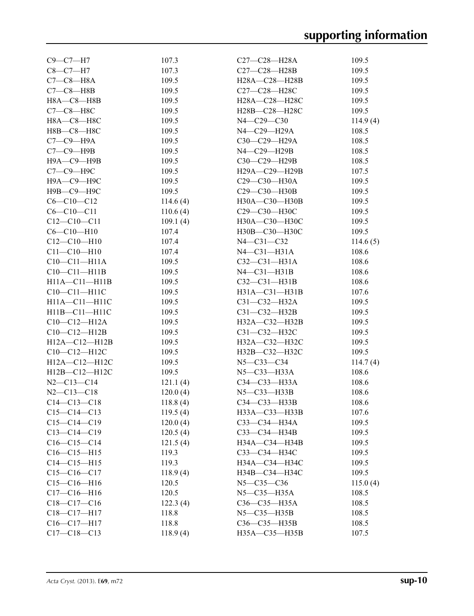| $C9 - C7 - H7$      | 107.3    | C27—C28—H28A        | 109.5    |
|---------------------|----------|---------------------|----------|
| $C8-C7-H7$          | 107.3    | C27—C28—H28B        | 109.5    |
| $C7-C8-H8A$         | 109.5    | H28A-C28-H28B       | 109.5    |
| $C7-C8-$ H8B        | 109.5    | C27-C28-H28C        | 109.5    |
| $H8A - C8 - H8B$    | 109.5    | H28A-C28-H28C       | 109.5    |
| $C7-C8-H8C$         | 109.5    | H28B-C28-H28C       | 109.5    |
| Н8А-С8-Н8С          | 109.5    | $N4 - C29 - C30$    | 114.9(4) |
| H8B-C8-H8C          | 109.5    | N4-C29-H29A         | 108.5    |
| $C7-C9-H9A$         | 109.5    | $C30-C29-H29A$      | 108.5    |
| $C7-C9-$ H9B        | 109.5    | N4-C29-H29B         | 108.5    |
| Н9А-С9-Н9В          | 109.5    | $C30-C29-H29B$      | 108.5    |
| С7-С9-Н9С           | 109.5    | H29A-C29-H29B       | 107.5    |
| Н9А-С9-Н9С          | 109.5    | $C29 - C30 - H30A$  | 109.5    |
| Н9В-С9-Н9С          | 109.5    | $C29 - C30 - H30B$  | 109.5    |
| $C6 - C10 - C12$    | 114.6(4) | H30A-C30-H30B       | 109.5    |
| $C6 - C10 - C11$    | 110.6(4) | С29-С30-Н30С        | 109.5    |
| $C12-C10-C11$       | 109.1(4) | H30A-C30-H30C       | 109.5    |
| $C6 - C10 - H10$    | 107.4    | H30B-C30-H30C       | 109.5    |
| $C12 - C10 - H10$   | 107.4    | $N4 - C31 - C32$    | 114.6(5) |
| $C11 - C10 - H10$   | 107.4    | $N4-C31-H31A$       | 108.6    |
| $C10-C11-H11A$      | 109.5    | $C32 - C31 - H31A$  | 108.6    |
| $C10-C11-H11B$      | 109.5    | $N4-C31-H31B$       | 108.6    |
| $H11A - C11 - H11B$ | 109.5    | $C32-C31-H31B$      | 108.6    |
| $C10-C11-H11C$      | 109.5    | $H31A - C31 - H31B$ | 107.6    |
| H11A-C11-H11C       | 109.5    | C31-C32-H32A        | 109.5    |
| $H11B - C11 - H11C$ | 109.5    | C31-C32-H32B        | 109.5    |
| $C10-C12-H12A$      | 109.5    | $H32A - C32 - H32B$ | 109.5    |
| $C10-C12-H12B$      | 109.5    | $C31 - C32 - H32C$  | 109.5    |
| $H12A - C12 - H12B$ | 109.5    | H32A-C32-H32C       | 109.5    |
| $C10-C12-H12C$      | 109.5    | H32B-C32-H32C       | 109.5    |
| $H12A - C12 - H12C$ | 109.5    | $N5 - C33 - C34$    | 114.7(4) |
| H12B-C12-H12C       | 109.5    | N5-C33-H33A         | 108.6    |
| $N2 - C13 - C14$    | 121.1(4) | $C34-C33-H33A$      | 108.6    |
| $N2 - C13 - C18$    | 120.0(4) | $N5 - C33 - H33B$   | 108.6    |
| $C14 - C13 - C18$   | 118.8(4) | $C34 - C33 - H33B$  | 108.6    |
| $C15-C14-C13$       | 119.5(4) | H33A-C33-H33B       | 107.6    |
| $C15-C14-C19$       | 120.0(4) | СЗЗ-СЗ4-НЗ4А        | 109.5    |
| $C13-C14-C19$       | 120.5(4) | C33-C34-H34B        | 109.5    |
| $C16-C15-C14$       | 121.5(4) | H34A-C34-H34B       | 109.5    |
| $C16 - C15 - H15$   | 119.3    | СЗЗ—СЗ4—НЗ4С        | 109.5    |
| $C14 - C15 - H15$   | 119.3    | H34A-C34-H34C       | 109.5    |
| $C15-C16-C17$       | 118.9(4) | H34B-C34-H34C       | 109.5    |
| $C15-C16-H16$       | 120.5    | $N5 - C35 - C36$    | 115.0(4) |
| $C17 - C16 - H16$   | 120.5    | N5-C35-H35A         | 108.5    |
| $C18-C17-C16$       | 122.3(4) | C36-C35-H35A        | 108.5    |
| $C18 - C17 - H17$   | 118.8    | N5-C35-H35B         | 108.5    |
| $C16-C17-H17$       | 118.8    | $C36-C35-H35B$      | 108.5    |
| $C17 - C18 - C13$   | 118.9(4) | H35A-C35-H35B       | 107.5    |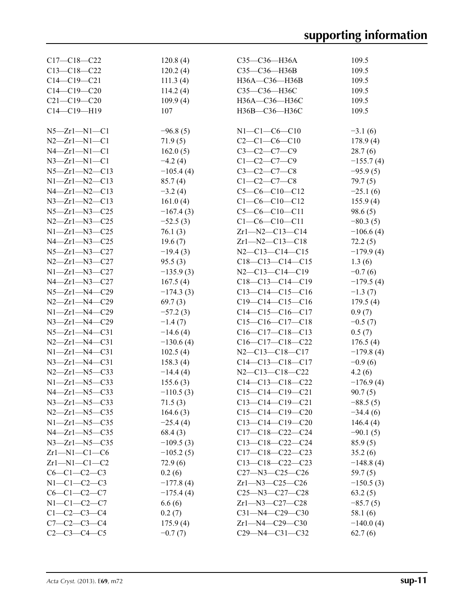| $C17 - C18 - C22$     | 120.8(4)    | C35-C36-H36A           | 109.5       |
|-----------------------|-------------|------------------------|-------------|
| $C13-C18-C22$         | 120.2(4)    | C35-C36-H36B           | 109.5       |
| $C14 - C19 - C21$     | 111.3(4)    | H36A-C36-H36B          | 109.5       |
| $C14-C19-C20$         | 114.2(4)    | СЗ5-СЗ6-НЗ6С           | 109.5       |
| $C21 - C19 - C20$     | 109.9(4)    | H36A-C36-H36C          | 109.5       |
| $C14 - C19 - H19$     | 107         | H36B-C36-H36C          | 109.5       |
|                       |             |                        |             |
| $N5 - Zr1 - N1 - C1$  | $-96.8(5)$  | $N1-C1-C6-C10$         | $-3.1(6)$   |
| $N2 - Zr1 - N1 - C1$  | 71.9(5)     | $C2-C1-C6-C10$         | 178.9(4)    |
| $N4 - Zr1 - N1 - C1$  | 162.0(5)    | $C3 - C2 - C7 - C9$    | 28.7(6)     |
| $N3 - Zr1 - N1 - C1$  | $-4.2(4)$   | $C1 - C2 - C7 - C9$    | $-155.7(4)$ |
| $N5 - Zr1 - N2 - C13$ | $-105.4(4)$ | $C3-C2-C7-C8$          | $-95.9(5)$  |
| $N1 - Zr1 - N2 - C13$ | 85.7(4)     | $C1 - C2 - C7 - C8$    | 79.7(5)     |
| $N4 - Zr1 - N2 - C13$ | $-3.2(4)$   | $C5-C6-C10-C12$        | $-25.1(6)$  |
| $N3 - Zr1 - N2 - C13$ | 161.0(4)    | $C1-C6-C10-C12$        | 155.9(4)    |
| $N5 - Zr1 - N3 - C25$ | $-167.4(3)$ | $C5-C6-C10-C11$        | 98.6(5)     |
| $N2 - Zr1 - N3 - C25$ | $-52.5(3)$  | $C1-C6-C10-C11$        | $-80.3(5)$  |
| $N1 - Zr1 - N3 - C25$ | 76.1(3)     | $Zr1 - N2 - C13 - C14$ | $-106.6(4)$ |
| $N4 - Zr1 - N3 - C25$ | 19.6(7)     | $Zr1 - N2 - C13 - C18$ | 72.2(5)     |
| $N5 - Zr1 - N3 - C27$ | $-19.4(3)$  | $N2 - C13 - C14 - C15$ | $-179.9(4)$ |
| $N2 - Zr1 - N3 - C27$ | 95.5(3)     | $C18-C13-C14-C15$      | 1.3(6)      |
| $N1 - Zr1 - N3 - C27$ | $-135.9(3)$ | $N2 - C13 - C14 - C19$ | $-0.7(6)$   |
| $N4 - Zr1 - N3 - C27$ | 167.5(4)    | $C18-C13-C14-C19$      | $-179.5(4)$ |
| $N5 - Zr1 - N4 - C29$ | $-174.3(3)$ | $C13-C14-C15-C16$      | $-1.3(7)$   |
| $N2 - Zr1 - N4 - C29$ | 69.7(3)     | $C19-C14-C15-C16$      | 179.5(4)    |
| $N1 - Zr1 - N4 - C29$ | $-57.2(3)$  | $C14-C15-C16-C17$      | 0.9(7)      |
| $N3 - Zr1 - N4 - C29$ | $-1.4(7)$   | $C15-C16-C17-C18$      | $-0.5(7)$   |
| $N5 - Zr1 - N4 - C31$ | $-14.6(4)$  | $C16-C17-C18-C13$      | 0.5(7)      |
| $N2 - Zr1 - N4 - C31$ | $-130.6(4)$ | $C16-C17-C18-C22$      | 176.5(4)    |
| $N1 - Zr1 - N4 - C31$ | 102.5(4)    | $N2 - C13 - C18 - C17$ | $-179.8(4)$ |
| $N3 - Zr1 - N4 - C31$ | 158.3(4)    | $C14-C13-C18-C17$      | $-0.9(6)$   |
| $N2 - Zr1 - N5 - C33$ | $-14.4(4)$  | $N2 - C13 - C18 - C22$ | 4.2(6)      |
| $N1 - Zr1 - N5 - C33$ | 155.6(3)    | $C14-C13-C18-C22$      | $-176.9(4)$ |
| $N4 - Zr1 - N5 - C33$ | $-110.5(3)$ | $C15-C14-C19-C21$      | 90.7(5)     |
| $N3 - Zr1 - N5 - C33$ | 71.5(3)     | $C13-C14-C19-C21$      | $-88.5(5)$  |
| $N2 - Zr1 - N5 - C35$ | 164.6(3)    | $C15-C14-C19-C20$      | $-34.4(6)$  |
| $N1 - Zr1 - N5 - C35$ | $-25.4(4)$  | $C13-C14-C19-C20$      | 146.4(4)    |
| $N4 - Zr1 - N5 - C35$ | 68.4(3)     | $C17-C18-C22-C24$      | $-90.1(5)$  |
| $N3 - Zr1 - N5 - C35$ | $-109.5(3)$ | $C13-C18-C22-C24$      | 85.9(5)     |
| $Zr1 - N1 - C1 - C6$  | $-105.2(5)$ | $C17-C18-C22-C23$      | 35.2(6)     |
| $Zr1-M1-C1-C2$        | 72.9(6)     | $C13-C18-C22-C23$      | $-148.8(4)$ |
| $C6-C1-C2-C3$         | 0.2(6)      | $C27 - N3 - C25 - C26$ | 59.7(5)     |
| $N1-C1-C2-C3$         | $-177.8(4)$ | $Zr1 - N3 - C25 - C26$ | $-150.5(3)$ |
| $C6-C1-C2-C7$         | $-175.4(4)$ | $C25 - N3 - C27 - C28$ | 63.2(5)     |
| $N1-C1-C2-C7$         | 6.6(6)      | $Zr1 - N3 - C27 - C28$ | $-85.7(5)$  |
| $C1 - C2 - C3 - C4$   | 0.2(7)      | $C31 - N4 - C29 - C30$ | 58.1 (6)    |
| $C7-C2-C3-C4$         | 175.9(4)    | $Zr1 - N4 - C29 - C30$ | $-140.0(4)$ |
| $C2-C3-C4-C5$         | $-0.7(7)$   | $C29 - N4 - C31 - C32$ | 62.7(6)     |